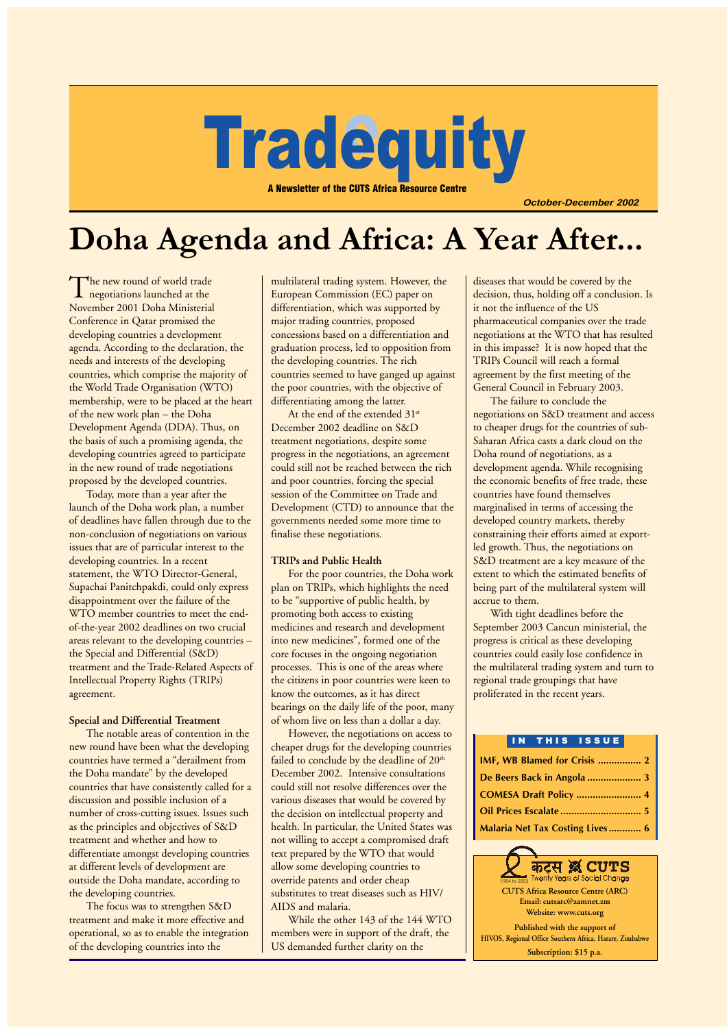# **Tradequity** equit

A Newsletter of the CUTS Africa Resource Centre

**October-December 2002**

# Doha Agenda and Africa: A Year After...

The new round of world trade<br>negotiations launched at the<br>M November 2001 Doha Ministerial Conference in Qatar promised the developing countries a development agenda. According to the declaration, the needs and interests of the developing countries, which comprise the majority of the World Trade Organisation (WTO) membership, were to be placed at the heart of the new work plan – the Doha Development Agenda (DDA). Thus, on the basis of such a promising agenda, the developing countries agreed to participate in the new round of trade negotiations proposed by the developed countries.

Today, more than a year after the launch of the Doha work plan, a number of deadlines have fallen through due to the non-conclusion of negotiations on various issues that are of particular interest to the developing countries. In a recent statement, the WTO Director-General, Supachai Panitchpakdi, could only express disappointment over the failure of the WTO member countries to meet the endof-the-year 2002 deadlines on two crucial areas relevant to the developing countries – the Special and Differential (S&D) treatment and the Trade-Related Aspects of Intellectual Property Rights (TRIPs) agreement.

#### **Special and Differential Treatment**

The notable areas of contention in the new round have been what the developing countries have termed a "derailment from the Doha mandate" by the developed countries that have consistently called for a discussion and possible inclusion of a number of cross-cutting issues. Issues such as the principles and objectives of S&D treatment and whether and how to differentiate amongst developing countries at different levels of development are outside the Doha mandate, according to the developing countries.

The focus was to strengthen S&D treatment and make it more effective and operational, so as to enable the integration of the developing countries into the

multilateral trading system. However, the European Commission (EC) paper on differentiation, which was supported by major trading countries, proposed concessions based on a differentiation and graduation process, led to opposition from the developing countries. The rich countries seemed to have ganged up against the poor countries, with the objective of differentiating among the latter.

At the end of the extended 31<sup>st</sup> December 2002 deadline on S&D treatment negotiations, despite some progress in the negotiations, an agreement could still not be reached between the rich and poor countries, forcing the special session of the Committee on Trade and Development (CTD) to announce that the governments needed some more time to finalise these negotiations.

#### **TRIPs and Public Health**

For the poor countries, the Doha work plan on TRIPs, which highlights the need to be "supportive of public health, by promoting both access to existing medicines and research and development into new medicines", formed one of the core focuses in the ongoing negotiation processes. This is one of the areas where the citizens in poor countries were keen to know the outcomes, as it has direct bearings on the daily life of the poor, many of whom live on less than a dollar a day.

However, the negotiations on access to cheaper drugs for the developing countries failed to conclude by the deadline of  $20<sup>th</sup>$ December 2002. Intensive consultations could still not resolve differences over the various diseases that would be covered by the decision on intellectual property and health. In particular, the United States was not willing to accept a compromised draft text prepared by the WTO that would allow some developing countries to override patents and order cheap substitutes to treat diseases such as HIV/ AIDS and malaria.

While the other 143 of the 144 WTO members were in support of the draft, the US demanded further clarity on the

diseases that would be covered by the decision, thus, holding off a conclusion. Is it not the influence of the US pharmaceutical companies over the trade negotiations at the WTO that has resulted in this impasse? It is now hoped that the TRIPs Council will reach a formal agreement by the first meeting of the General Council in February 2003.

The failure to conclude the negotiations on S&D treatment and access to cheaper drugs for the countries of sub-Saharan Africa casts a dark cloud on the Doha round of negotiations, as a development agenda. While recognising the economic benefits of free trade, these countries have found themselves marginalised in terms of accessing the developed country markets, thereby constraining their efforts aimed at exportled growth. Thus, the negotiations on S&D treatment are a key measure of the extent to which the estimated benefits of being part of the multilateral system will accrue to them.

With tight deadlines before the September 2003 Cancun ministerial, the progress is critical as these developing countries could easily lose confidence in the multilateral trading system and turn to regional trade groupings that have proliferated in the recent years.

#### IN THIS ISSUE

| IMF, WB Blamed for Crisis  2           |  |
|----------------------------------------|--|
|                                        |  |
|                                        |  |
|                                        |  |
| <b>Malaria Net Tax Costing Lives 6</b> |  |

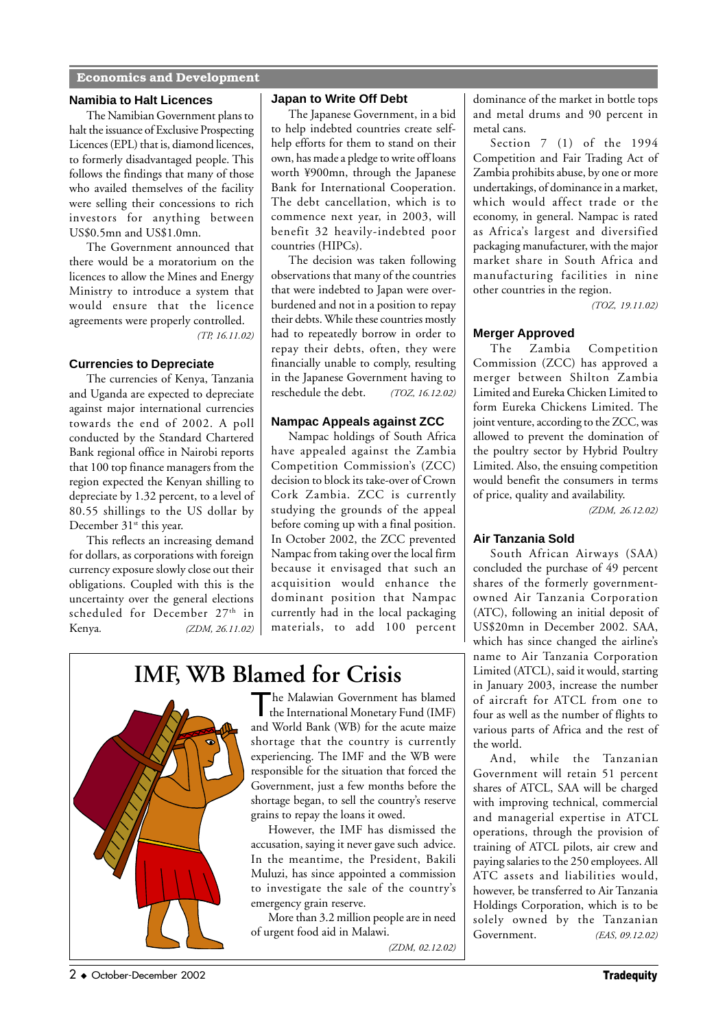# **Economics and Development**

#### **Namibia to Halt Licences**

The Namibian Government plans to halt the issuance of Exclusive Prospecting Licences (EPL) that is, diamond licences, to formerly disadvantaged people. This follows the findings that many of those who availed themselves of the facility were selling their concessions to rich investors for anything between US\$0.5mn and US\$1.0mn.

The Government announced that there would be a moratorium on the licences to allow the Mines and Energy Ministry to introduce a system that would ensure that the licence agreements were properly controlled.  *(TP, 16.11.02)*

## **Currencies to Depreciate**

The currencies of Kenya, Tanzania and Uganda are expected to depreciate against major international currencies towards the end of 2002. A poll conducted by the Standard Chartered Bank regional office in Nairobi reports that 100 top finance managers from the region expected the Kenyan shilling to depreciate by 1.32 percent, to a level of 80.55 shillings to the US dollar by December 31<sup>st</sup> this year.

This reflects an increasing demand for dollars, as corporations with foreign currency exposure slowly close out their obligations. Coupled with this is the uncertainty over the general elections scheduled for December 27<sup>th</sup> in Kenya*. (ZDM, 26.11.02)*

# **Japan to Write Off Debt**

The Japanese Government, in a bid to help indebted countries create selfhelp efforts for them to stand on their own, has made a pledge to write off loans worth ¥900mn, through the Japanese Bank for International Cooperation. The debt cancellation, which is to commence next year, in 2003, will benefit 32 heavily-indebted poor countries (HIPCs).

The decision was taken following observations that many of the countries that were indebted to Japan were overburdened and not in a position to repay their debts. While these countries mostly had to repeatedly borrow in order to repay their debts, often, they were financially unable to comply, resulting in the Japanese Government having to reschedule the debt. *(TOZ, 16.12.02)*

# **Nampac Appeals against ZCC**

Nampac holdings of South Africa have appealed against the Zambia Competition Commission's (ZCC) decision to block its take-over of Crown Cork Zambia. ZCC is currently studying the grounds of the appeal before coming up with a final position. In October 2002, the ZCC prevented Nampac from taking over the local firm because it envisaged that such an acquisition would enhance the dominant position that Nampac currently had in the local packaging materials, to add 100 percent

# **IMF, WB Blamed for Crisis**



The Malawian Government has blamed the International Monetary Fund (IMF) and World Bank (WB) for the acute maize shortage that the country is currently experiencing. The IMF and the WB were responsible for the situation that forced the Government, just a few months before the shortage began, to sell the country's reserve grains to repay the loans it owed.

However, the IMF has dismissed the accusation, saying it never gave such advice. In the meantime, the President, Bakili Muluzi, has since appointed a commission to investigate the sale of the country's emergency grain reserve.

More than 3.2 million people are in need of urgent food aid in Malawi.

*(ZDM, 02.12.02)*

dominance of the market in bottle tops and metal drums and 90 percent in metal cans.

Section 7 (1) of the 1994 Competition and Fair Trading Act of Zambia prohibits abuse, by one or more undertakings, of dominance in a market, which would affect trade or the economy, in general. Nampac is rated as Africa's largest and diversified packaging manufacturer, with the major market share in South Africa and manufacturing facilities in nine other countries in the region.

*(TOZ, 19.11.02)*

# **Merger Approved**

The Zambia Competition Commission (ZCC) has approved a merger between Shilton Zambia Limited and Eureka Chicken Limited to form Eureka Chickens Limited. The joint venture, according to the ZCC, was allowed to prevent the domination of the poultry sector by Hybrid Poultry Limited. Also, the ensuing competition would benefit the consumers in terms of price, quality and availability.

*(ZDM, 26.12.02)*

# **Air Tanzania Sold**

South African Airways (SAA) concluded the purchase of 49 percent shares of the formerly governmentowned Air Tanzania Corporation (ATC), following an initial deposit of US\$20mn in December 2002. SAA, which has since changed the airline's name to Air Tanzania Corporation Limited (ATCL), said it would, starting in January 2003, increase the number of aircraft for ATCL from one to four as well as the number of flights to various parts of Africa and the rest of the world.

And, while the Tanzanian Government will retain 51 percent shares of ATCL, SAA will be charged with improving technical, commercial and managerial expertise in ATCL operations, through the provision of training of ATCL pilots, air crew and paying salaries to the 250 employees. All ATC assets and liabilities would, however, be transferred to Air Tanzania Holdings Corporation, which is to be solely owned by the Tanzanian Government. *(EAS, 09.12.02)*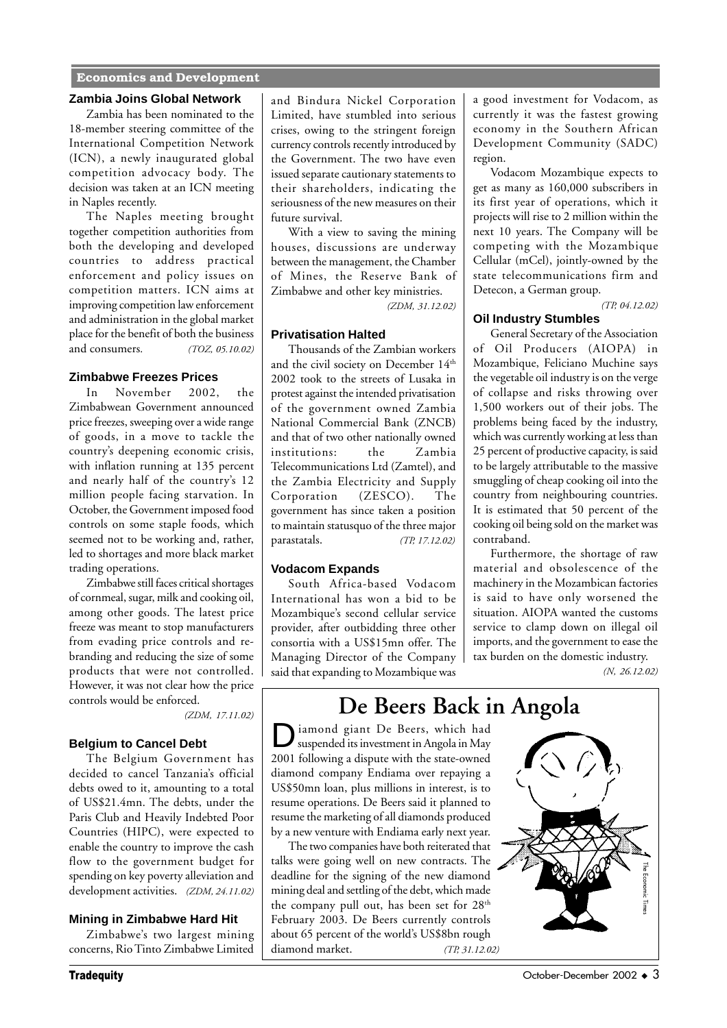# **Economics and Development**

#### **Zambia Joins Global Network**

Zambia has been nominated to the 18-member steering committee of the International Competition Network (ICN), a newly inaugurated global competition advocacy body. The decision was taken at an ICN meeting in Naples recently.

The Naples meeting brought together competition authorities from both the developing and developed countries to address practical enforcement and policy issues on competition matters. ICN aims at improving competition law enforcement and administration in the global market place for the benefit of both the business and consumers*. (TOZ, 05.10.02)*

#### **Zimbabwe Freezes Prices**

In November 2002, the Zimbabwean Government announced price freezes, sweeping over a wide range of goods, in a move to tackle the country's deepening economic crisis, with inflation running at 135 percent and nearly half of the country's 12 million people facing starvation. In October, the Government imposed food controls on some staple foods, which seemed not to be working and, rather, led to shortages and more black market trading operations.

Zimbabwe still faces critical shortages of cornmeal, sugar, milk and cooking oil, among other goods. The latest price freeze was meant to stop manufacturers from evading price controls and rebranding and reducing the size of some products that were not controlled. However, it was not clear how the price controls would be enforced.

*(ZDM, 17.11.02)*

### **Belgium to Cancel Debt**

The Belgium Government has decided to cancel Tanzania's official debts owed to it, amounting to a total of US\$21.4mn. The debts, under the Paris Club and Heavily Indebted Poor Countries (HIPC), were expected to enable the country to improve the cash flow to the government budget for spending on key poverty alleviation and development activities. *(ZDM, 24.11.02)*

#### **Mining in Zimbabwe Hard Hit**

Zimbabwe's two largest mining concerns, Rio Tinto Zimbabwe Limited and Bindura Nickel Corporation Limited, have stumbled into serious crises, owing to the stringent foreign currency controls recently introduced by the Government. The two have even issued separate cautionary statements to their shareholders, indicating the seriousness of the new measures on their future survival.

With a view to saving the mining houses, discussions are underway between the management, the Chamber of Mines, the Reserve Bank of Zimbabwe and other key ministries.

 *(ZDM, 31.12.02)*

#### **Privatisation Halted**

Thousands of the Zambian workers and the civil society on December 14<sup>th</sup> 2002 took to the streets of Lusaka in protest against the intended privatisation of the government owned Zambia National Commercial Bank (ZNCB) and that of two other nationally owned institutions: the Zambia Telecommunications Ltd (Zamtel), and the Zambia Electricity and Supply Corporation (ZESCO). The government has since taken a position to maintain statusquo of the three major parastatals. *(TP, 17.12.02)*

#### **Vodacom Expands**

South Africa-based Vodacom International has won a bid to be Mozambique's second cellular service provider, after outbidding three other consortia with a US\$15mn offer. The Managing Director of the Company said that expanding to Mozambique was

a good investment for Vodacom, as currently it was the fastest growing economy in the Southern African Development Community (SADC) region.

Vodacom Mozambique expects to get as many as 160,000 subscribers in its first year of operations, which it projects will rise to 2 million within the next 10 years. The Company will be competing with the Mozambique Cellular (mCel), jointly-owned by the state telecommunications firm and Detecon, a German group.

 *(TP, 04.12.02)*

## **Oil Industry Stumbles**

General Secretary of the Association of Oil Producers (AIOPA) in Mozambique, Feliciano Muchine says the vegetable oil industry is on the verge of collapse and risks throwing over 1,500 workers out of their jobs. The problems being faced by the industry, which was currently working at less than 25 percent of productive capacity, is said to be largely attributable to the massive smuggling of cheap cooking oil into the country from neighbouring countries. It is estimated that 50 percent of the cooking oil being sold on the market was contraband.

Furthermore, the shortage of raw material and obsolescence of the machinery in the Mozambican factories is said to have only worsened the situation. AIOPA wanted the customs service to clamp down on illegal oil imports, and the government to ease the tax burden on the domestic industry.

*(N, 26.12.02)*

# **De Beers Back in Angola**

iamond giant De Beers, which had suspended its investment in Angola in May 2001 following a dispute with the state-owned diamond company Endiama over repaying a US\$50mn loan, plus millions in interest, is to resume operations. De Beers said it planned to resume the marketing of all diamonds produced by a new venture with Endiama early next year.

The two companies have both reiterated that talks were going well on new contracts. The deadline for the signing of the new diamond mining deal and settling of the debt, which made the company pull out, has been set for 28<sup>th</sup> February 2003. De Beers currently controls about 65 percent of the world's US\$8bn rough diamond market. *(TP, 31.12.02)*

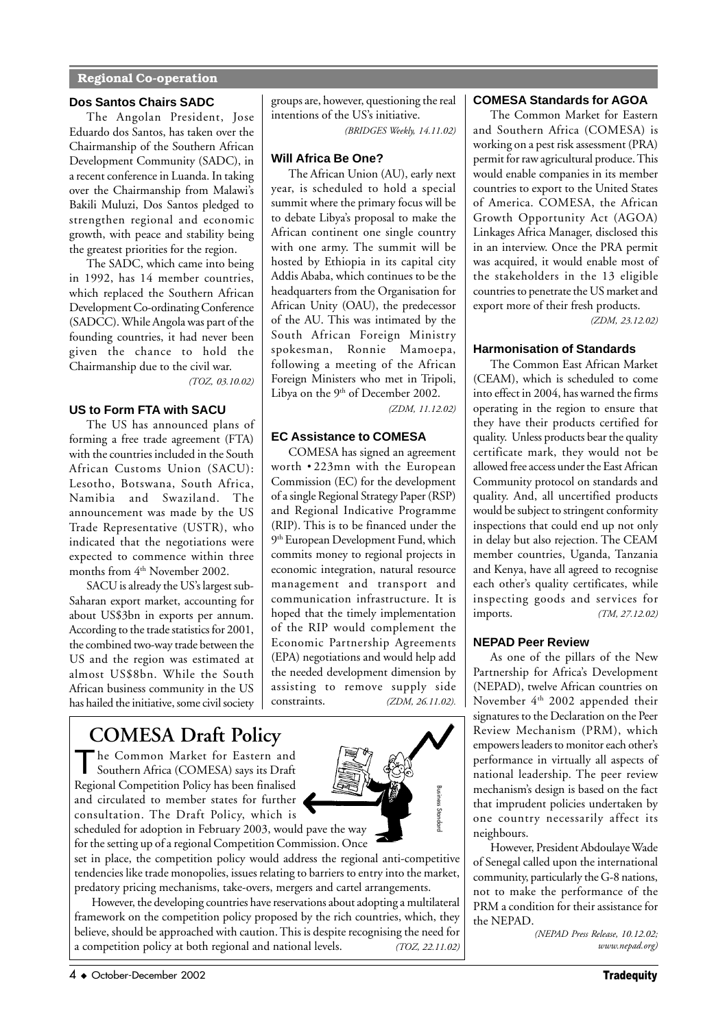# **Regional Co-operation**

# **Dos Santos Chairs SADC**

The Angolan President, Jose Eduardo dos Santos, has taken over the Chairmanship of the Southern African Development Community (SADC), in a recent conference in Luanda. In taking over the Chairmanship from Malawi's Bakili Muluzi, Dos Santos pledged to strengthen regional and economic growth, with peace and stability being the greatest priorities for the region.

The SADC, which came into being in 1992, has 14 member countries, which replaced the Southern African Development Co-ordinating Conference (SADCC). While Angola was part of the founding countries, it had never been given the chance to hold the Chairmanship due to the civil war.

*(TOZ, 03.10.02)*

# **US to Form FTA with SACU**

The US has announced plans of forming a free trade agreement (FTA) with the countries included in the South African Customs Union (SACU): Lesotho, Botswana, South Africa, Namibia and Swaziland. The announcement was made by the US Trade Representative (USTR), who indicated that the negotiations were expected to commence within three months from 4<sup>th</sup> November 2002.

SACU is already the US's largest sub-Saharan export market, accounting for about US\$3bn in exports per annum. According to the trade statistics for 2001, the combined two-way trade between the US and the region was estimated at almost US\$8bn. While the South African business community in the US has hailed the initiative, some civil society groups are, however, questioning the real intentions of the US's initiative.

*(BRIDGES Weekly, 14.11.02)*

# **Will Africa Be One?**

The African Union (AU), early next year, is scheduled to hold a special summit where the primary focus will be to debate Libya's proposal to make the African continent one single country with one army. The summit will be hosted by Ethiopia in its capital city Addis Ababa, which continues to be the headquarters from the Organisation for African Unity (OAU), the predecessor of the AU. This was intimated by the South African Foreign Ministry spokesman, Ronnie Mamoepa, following a meeting of the African Foreign Ministers who met in Tripoli, Libya on the 9<sup>th</sup> of December 2002.

*(ZDM, 11.12.02)*

# **EC Assistance to COMESA**

COMESA has signed an agreement worth • 223mn with the European Commission (EC) for the development of a single Regional Strategy Paper (RSP) and Regional Indicative Programme (RIP). This is to be financed under the 9<sup>th</sup> European Development Fund, which commits money to regional projects in economic integration, natural resource management and transport and communication infrastructure. It is hoped that the timely implementation of the RIP would complement the Economic Partnership Agreements (EPA) negotiations and would help add the needed development dimension by assisting to remove supply side constraints. *(ZDM, 26.11.02).*

# **COMESA Draft Policy**

The Common Market for Eastern and<br>Southern Africa (COMESA) says its Draft Regional Competition Policy has been finalised and circulated to member states for further consultation. The Draft Policy, which is



scheduled for adoption in February 2003, would pave the way for the setting up of a regional Competition Commission. Once

set in place, the competition policy would address the regional anti-competitive tendencies like trade monopolies, issues relating to barriers to entry into the market, predatory pricing mechanisms, take-overs, mergers and cartel arrangements.

However, the developing countries have reservations about adopting a multilateral framework on the competition policy proposed by the rich countries, which, they believe, should be approached with caution. This is despite recognising the need for Accessional competition Folicy has been intansed<br>
and circulated to member states for further<br>
consultation. The Draft Policy, which is<br>
scheduled for adoption in February 2003, would pave the way<br>
for the setting up of a

# **COMESA Standards for AGOA**

The Common Market for Eastern and Southern Africa (COMESA) is working on a pest risk assessment (PRA) permit for raw agricultural produce. This would enable companies in its member countries to export to the United States of America. COMESA, the African Growth Opportunity Act (AGOA) Linkages Africa Manager, disclosed this in an interview. Once the PRA permit was acquired, it would enable most of the stakeholders in the 13 eligible countries to penetrate the US market and export more of their fresh products.

*(ZDM, 23.12.02)*

# **Harmonisation of Standards**

The Common East African Market (CEAM), which is scheduled to come into effect in 2004, has warned the firms operating in the region to ensure that they have their products certified for quality. Unless products bear the quality certificate mark, they would not be allowed free access under the East African Community protocol on standards and quality. And, all uncertified products would be subject to stringent conformity inspections that could end up not only in delay but also rejection. The CEAM member countries, Uganda, Tanzania and Kenya, have all agreed to recognise each other's quality certificates, while inspecting goods and services for imports. *(TM, 27.12.02)*

# **NEPAD Peer Review**

As one of the pillars of the New Partnership for Africa's Development (NEPAD), twelve African countries on November 4<sup>th</sup> 2002 appended their signatures to the Declaration on the Peer Review Mechanism (PRM), which empowers leaders to monitor each other's performance in virtually all aspects of national leadership. The peer review mechanism's design is based on the fact that imprudent policies undertaken by one country necessarily affect its neighbours.

However, President Abdoulaye Wade of Senegal called upon the international community, particularly the G-8 nations, not to make the performance of the PRM a condition for their assistance for the NEPAD.

> *(NEPAD Press Release, 10.12.02; www.nepad.org)*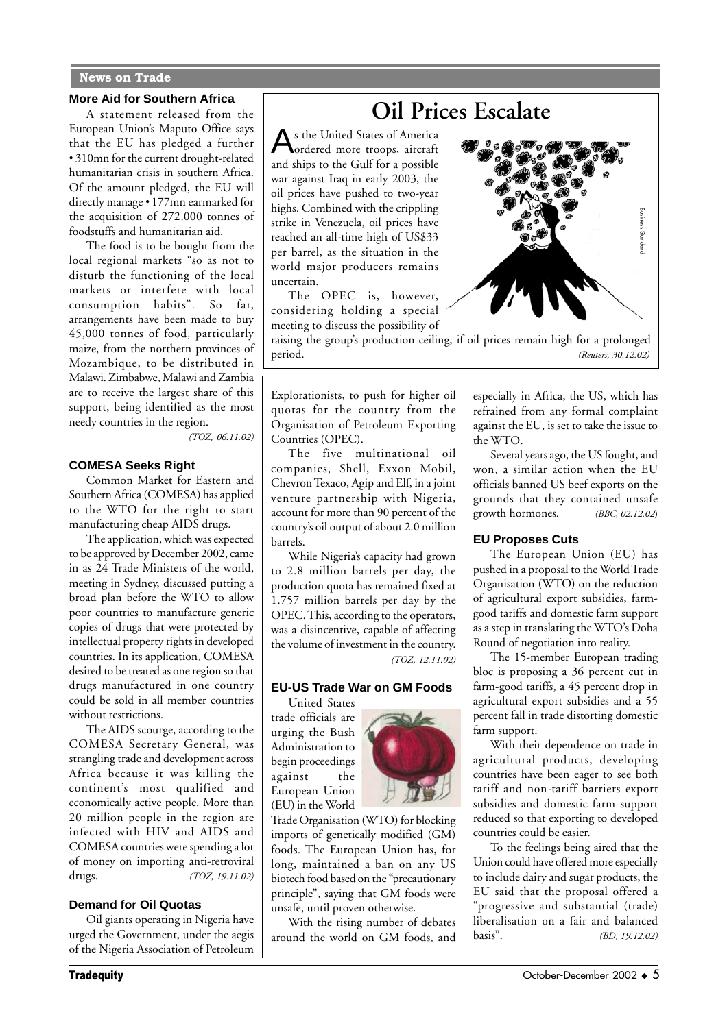### **News on Trade**

#### **More Aid for Southern Africa**

A statement released from the European Union's Maputo Office says that the EU has pledged a further • 310mn for the current drought-related humanitarian crisis in southern Africa. Of the amount pledged, the EU will directly manage • 177mn earmarked for the acquisition of 272,000 tonnes of foodstuffs and humanitarian aid.

The food is to be bought from the local regional markets "so as not to disturb the functioning of the local markets or interfere with local consumption habits". So far, arrangements have been made to buy 45,000 tonnes of food, particularly maize, from the northern provinces of Mozambique, to be distributed in Malawi. Zimbabwe, Malawi and Zambia are to receive the largest share of this support, being identified as the most needy countries in the region.

*(TOZ, 06.11.02)*

#### **COMESA Seeks Right**

Common Market for Eastern and Southern Africa (COMESA) has applied to the WTO for the right to start manufacturing cheap AIDS drugs.

The application, which was expected to be approved by December 2002, came in as 24 Trade Ministers of the world, meeting in Sydney, discussed putting a broad plan before the WTO to allow poor countries to manufacture generic copies of drugs that were protected by intellectual property rights in developed countries. In its application, COMESA desired to be treated as one region so that drugs manufactured in one country could be sold in all member countries without restrictions.

The AIDS scourge, according to the COMESA Secretary General, was strangling trade and development across Africa because it was killing the continent's most qualified and economically active people. More than 20 million people in the region are infected with HIV and AIDS and COMESA countries were spending a lot of money on importing anti-retroviral drugs. *(TOZ, 19.11.02)*

#### **Demand for Oil Quotas**

Oil giants operating in Nigeria have urged the Government, under the aegis of the Nigeria Association of Petroleum

# **Oil Prices Escalate**

As the United States of America ordered more troops, aircraft and ships to the Gulf for a possible war against Iraq in early 2003, the oil prices have pushed to two-year highs. Combined with the crippling strike in Venezuela, oil prices have reached an all-time high of US\$33 per barrel, as the situation in the world major producers remains uncertain.

The OPEC is, however, considering holding a special meeting to discuss the possibility of



raising the group's production ceiling, if oil prices remain high for a prolonged

Explorationists, to push for higher oil quotas for the country from the Organisation of Petroleum Exporting Countries (OPEC).

The five multinational oil companies, Shell, Exxon Mobil, Chevron Texaco, Agip and Elf, in a joint venture partnership with Nigeria, account for more than 90 percent of the country's oil output of about 2.0 million barrels.

While Nigeria's capacity had grown to 2.8 million barrels per day, the production quota has remained fixed at 1.757 million barrels per day by the OPEC. This, according to the operators, was a disincentive, capable of affecting the volume of investment in the country. *(TOZ, 12.11.02)*

# **EU-US Trade War on GM Foods**

United States trade officials are urging the Bush Administration to begin proceedings against the European Union (EU) in the World



Trade Organisation (WTO) for blocking imports of genetically modified (GM) foods. The European Union has, for long, maintained a ban on any US biotech food based on the "precautionary principle", saying that GM foods were unsafe, until proven otherwise.

With the rising number of debates around the world on GM foods, and

especially in Africa, the US, which has refrained from any formal complaint against the EU, is set to take the issue to the WTO.

Several years ago, the US fought, and won, a similar action when the EU officials banned US beef exports on the grounds that they contained unsafe growth hormones*. (BBC, 02.12.02*)

# **EU Proposes Cuts**

The European Union (EU) has pushed in a proposal to the World Trade Organisation (WTO) on the reduction of agricultural export subsidies, farmgood tariffs and domestic farm support as a step in translating the WTO's Doha Round of negotiation into reality.

The 15-member European trading bloc is proposing a 36 percent cut in farm-good tariffs, a 45 percent drop in agricultural export subsidies and a 55 percent fall in trade distorting domestic farm support.

With their dependence on trade in agricultural products, developing countries have been eager to see both tariff and non-tariff barriers export subsidies and domestic farm support reduced so that exporting to developed countries could be easier.

To the feelings being aired that the Union could have offered more especially to include dairy and sugar products, the EU said that the proposal offered a "progressive and substantial (trade) liberalisation on a fair and balanced basis". *(BD, 19.12.02)*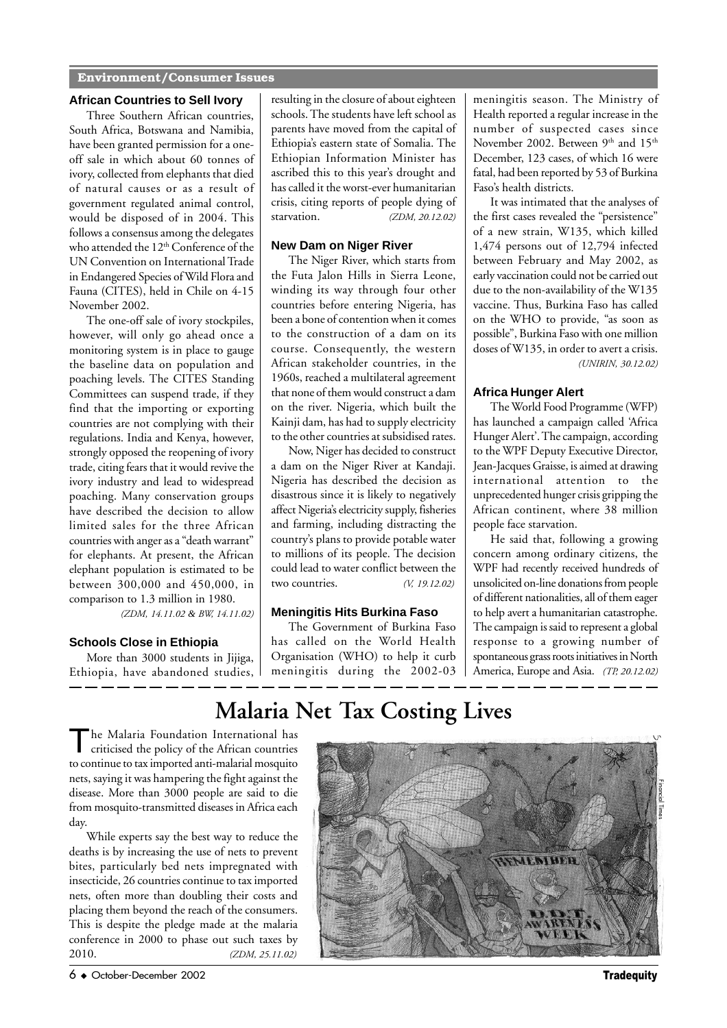# **Environment/Consumer Issues**

#### **African Countries to Sell Ivory**

Three Southern African countries, South Africa, Botswana and Namibia, have been granted permission for a oneoff sale in which about 60 tonnes of ivory, collected from elephants that died of natural causes or as a result of government regulated animal control, would be disposed of in 2004. This follows a consensus among the delegates who attended the  $12<sup>th</sup>$  Conference of the UN Convention on International Trade in Endangered Species of Wild Flora and Fauna (CITES), held in Chile on 4-15 November 2002.

The one-off sale of ivory stockpiles, however, will only go ahead once a monitoring system is in place to gauge the baseline data on population and poaching levels. The CITES Standing Committees can suspend trade, if they find that the importing or exporting countries are not complying with their regulations. India and Kenya, however, strongly opposed the reopening of ivory trade, citing fears that it would revive the ivory industry and lead to widespread poaching. Many conservation groups have described the decision to allow limited sales for the three African countries with anger as a "death warrant" for elephants. At present, the African elephant population is estimated to be between 300,000 and 450,000, in comparison to 1.3 million in 1980.

*(ZDM, 14.11.02 & BW, 14.11.02)*

# **Schools Close in Ethiopia**

More than 3000 students in Jijiga, Ethiopia, have abandoned studies, resulting in the closure of about eighteen schools. The students have left school as parents have moved from the capital of Ethiopia's eastern state of Somalia. The Ethiopian Information Minister has ascribed this to this year's drought and has called it the worst-ever humanitarian crisis, citing reports of people dying of starvation. *(ZDM, 20.12.02)*

# **New Dam on Niger River**

The Niger River, which starts from the Futa Jalon Hills in Sierra Leone, winding its way through four other countries before entering Nigeria, has been a bone of contention when it comes to the construction of a dam on its course. Consequently, the western African stakeholder countries, in the 1960s, reached a multilateral agreement that none of them would construct a dam on the river. Nigeria, which built the Kainji dam, has had to supply electricity to the other countries at subsidised rates.

Now, Niger has decided to construct a dam on the Niger River at Kandaji. Nigeria has described the decision as disastrous since it is likely to negatively affect Nigeria's electricity supply, fisheries and farming, including distracting the country's plans to provide potable water to millions of its people. The decision could lead to water conflict between the<br>two countries.  $(19.12.02)$ two countries.

# **Meningitis Hits Burkina Faso**

The Government of Burkina Faso has called on the World Health Organisation (WHO) to help it curb meningitis during the 2002-03 meningitis season. The Ministry of Health reported a regular increase in the number of suspected cases since November 2002. Between  $9<sup>th</sup>$  and  $15<sup>th</sup>$ December, 123 cases, of which 16 were fatal, had been reported by 53 of Burkina Faso's health districts.

It was intimated that the analyses of the first cases revealed the "persistence" of a new strain, W135, which killed 1,474 persons out of 12,794 infected between February and May 2002, as early vaccination could not be carried out due to the non-availability of the W135 vaccine. Thus, Burkina Faso has called on the WHO to provide, "as soon as possible", Burkina Faso with one million doses of W135, in order to avert a crisis. *(UNIRIN, 30.12.02)*

#### **Africa Hunger Alert**

The World Food Programme (WFP) has launched a campaign called 'Africa Hunger Alert'. The campaign, according to the WPF Deputy Executive Director, Jean-Jacques Graisse, is aimed at drawing international attention to the unprecedented hunger crisis gripping the African continent, where 38 million people face starvation.

He said that, following a growing concern among ordinary citizens, the WPF had recently received hundreds of unsolicited on-line donations from people of different nationalities, all of them eager to help avert a humanitarian catastrophe. The campaign is said to represent a global response to a growing number of spontaneous grass roots initiatives in North America, Europe and Asia. *(TP, 20.12.02)*

# **Malaria Net Tax Costing Lives**

The Malaria Foundation International has criticised the policy of the African countries to continue to tax imported anti-malarial mosquito nets, saying it was hampering the fight against the disease. More than 3000 people are said to die from mosquito-transmitted diseases in Africa each day.

While experts say the best way to reduce the deaths is by increasing the use of nets to prevent bites, particularly bed nets impregnated with insecticide, 26 countries continue to tax imported nets, often more than doubling their costs and placing them beyond the reach of the consumers. This is despite the pledge made at the malaria conference in 2000 to phase out such taxes by  $2010$ . (ZDM  $251102$ ) 2010. *(ZDM, 25.11.02)*

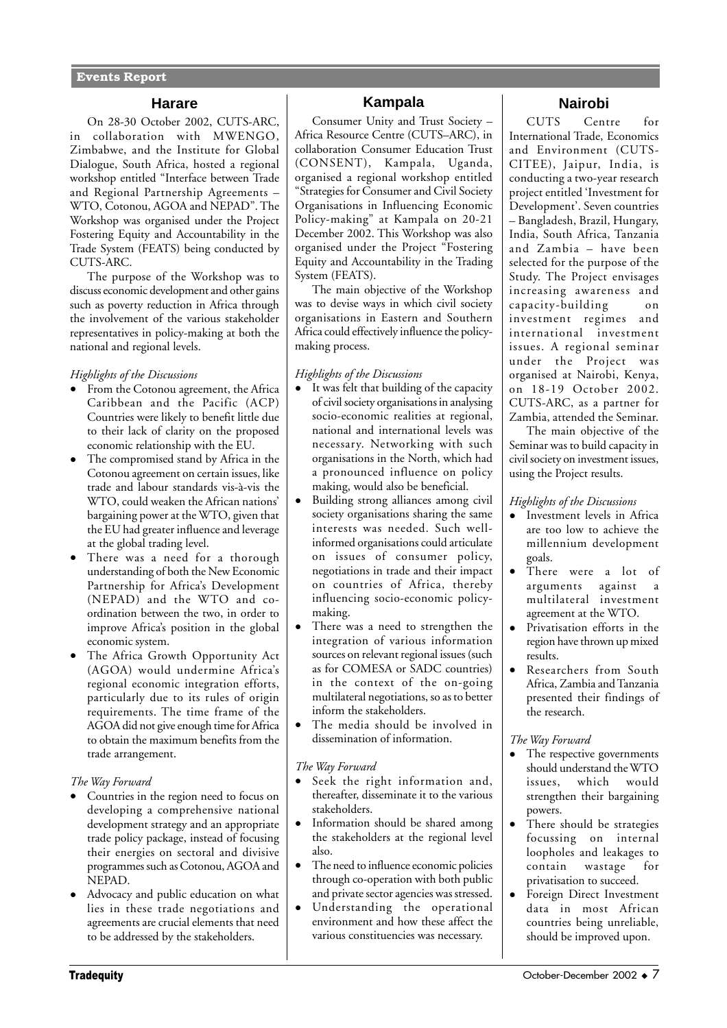# **Harare**

On 28-30 October 2002, CUTS-ARC, in collaboration with MWENGO, Zimbabwe, and the Institute for Global Dialogue, South Africa, hosted a regional workshop entitled "Interface between Trade and Regional Partnership Agreements – WTO, Cotonou, AGOA and NEPAD". The Workshop was organised under the Project Fostering Equity and Accountability in the Trade System (FEATS) being conducted by CUTS-ARC.

The purpose of the Workshop was to discuss economic development and other gains such as poverty reduction in Africa through the involvement of the various stakeholder representatives in policy-making at both the national and regional levels.

## *Highlights of the Discussions*

- From the Cotonou agreement, the Africa Caribbean and the Pacific (ACP) Countries were likely to benefit little due to their lack of clarity on the proposed economic relationship with the EU.
- The compromised stand by Africa in the Cotonou agreement on certain issues, like trade and labour standards vis-à-vis the WTO, could weaken the African nations' bargaining power at the WTO, given that the EU had greater influence and leverage at the global trading level.
- There was a need for a thorough understanding of both the New Economic Partnership for Africa's Development (NEPAD) and the WTO and coordination between the two, in order to improve Africa's position in the global economic system.
- The Africa Growth Opportunity Act (AGOA) would undermine Africa's regional economic integration efforts, particularly due to its rules of origin requirements. The time frame of the AGOA did not give enough time for Africa to obtain the maximum benefits from the trade arrangement.

## *The Way Forward*

- Countries in the region need to focus on developing a comprehensive national development strategy and an appropriate trade policy package, instead of focusing their energies on sectoral and divisive programmes such as Cotonou, AGOA and NEPAD.
- Advocacy and public education on what lies in these trade negotiations and agreements are crucial elements that need to be addressed by the stakeholders.

# **Kampala**

Consumer Unity and Trust Society – Africa Resource Centre (CUTS–ARC), in collaboration Consumer Education Trust (CONSENT), Kampala, Uganda, organised a regional workshop entitled "Strategies for Consumer and Civil Society Organisations in Influencing Economic Policy-making" at Kampala on 20-21 December 2002. This Workshop was also organised under the Project "Fostering Equity and Accountability in the Trading System (FEATS).

The main objective of the Workshop was to devise ways in which civil society organisations in Eastern and Southern Africa could effectively influence the policymaking process.

# *Highlights of the Discussions*

- It was felt that building of the capacity of civil society organisations in analysing socio-economic realities at regional, national and international levels was necessary. Networking with such organisations in the North, which had a pronounced influence on policy making, would also be beneficial.
- Building strong alliances among civil society organisations sharing the same interests was needed. Such wellinformed organisations could articulate on issues of consumer policy, negotiations in trade and their impact on countries of Africa, thereby influencing socio-economic policymaking.
- There was a need to strengthen the integration of various information sources on relevant regional issues (such as for COMESA or SADC countries) in the context of the on-going multilateral negotiations, so as to better inform the stakeholders.
- The media should be involved in dissemination of information.

## *The Way Forward*

- Seek the right information and, thereafter, disseminate it to the various stakeholders.
- Information should be shared among the stakeholders at the regional level also.
- The need to influence economic policies through co-operation with both public and private sector agencies was stressed.
- Understanding the operational environment and how these affect the various constituencies was necessary.

# **Nairobi**

CUTS Centre for International Trade, Economics and Environment (CUTS-CITEE), Jaipur, India, is conducting a two-year research project entitled 'Investment for Development'. Seven countries – Bangladesh, Brazil, Hungary, India, South Africa, Tanzania and Zambia – have been selected for the purpose of the Study. The Project envisages increasing awareness and capacity-building on investment regimes and international investment issues. A regional seminar under the Project was organised at Nairobi, Kenya, on 18-19 October 2002. CUTS-ARC, as a partner for Zambia, attended the Seminar.

The main objective of the Seminar was to build capacity in civil society on investment issues, using the Project results.

# *Highlights of the Discussions*

- Investment levels in Africa are too low to achieve the millennium development goals.
- There were a lot of arguments against a multilateral investment agreement at the WTO.
- Privatisation efforts in the region have thrown up mixed results.
- Researchers from South Africa, Zambia and Tanzania presented their findings of the research.

# *The Way Forward*

- The respective governments should understand the WTO issues, which would strengthen their bargaining powers.
- There should be strategies focussing on internal loopholes and leakages to contain wastage for privatisation to succeed.
- Foreign Direct Investment data in most African countries being unreliable, should be improved upon.